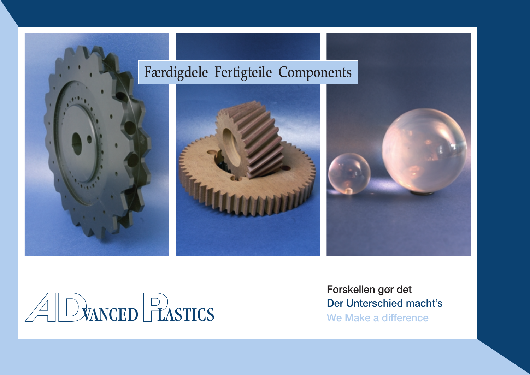



**Forskellen gør det Der Unterschied macht's**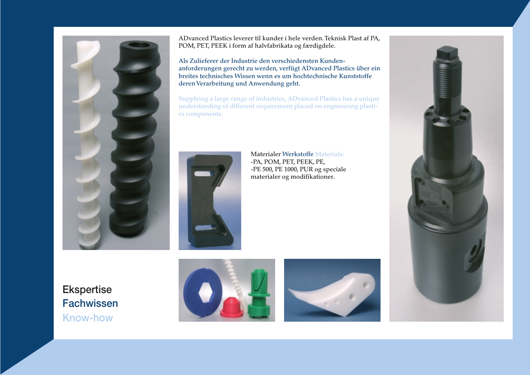

**ADvanced Plastics leverer til kunder i hele verden.Teknisk Plast af PA, POM, PET, PEEK i form af halvfabrikata og færdigdele.**

**Als Zulieferer der Industrie den verschiedensten Kundenanforderungen gerecht zu werden, verfügt ADvanced Plastics über ein breites technisches Wissen wenn es um hochtechnische Kunststoffe deren Verarbeitung und Anwendung geht.**

**Supplying a large range of industries, ADvanced Plastics has a unique understanding of different requirement placed on engineering plastics components.**



**Materialer Werkstoffe Materials: -PA, POM, PET, PEEK, PE, -PE 500, PE 1000, PUR og speciale materialer og modifikationer.**

**Ekspertise Fachwissen Know-how**





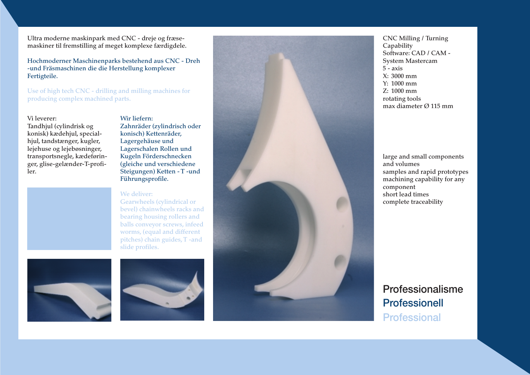**Ultra moderne maskinpark med CNC - dreje og fræsemaskiner til fremstilling af meget komplexe færdigdele.**

**Hochmoderner Maschinenparks bestehend aus CNC - Dreh -und Fräsmaschinen die die Herstellung komplexer Fertigteile.**

**Use of high tech CNC - drilling and milling machines for producing complex machined parts.**

#### **Vi leverer: Tandhjul (cylindrisk og konisk) kædehjul, specialhjul, tandstænger, kugler, lejehuse og lejebøsninger, transportsnegle, kædeføringer, glise-gelænder-T-profiler.**

**Wir liefern: Zahnräder (zylindrisch oder konisch) Kettenräder, Lagergehäuse und Lagerschalen Rollen und Kugeln Förderschnecken (gleiche und verschiedene Steigungen) Ketten - T -und Führungsprofile.**

#### **We deliver:**

**Gearwheels (cylindrical or bevel) chainwheels racks and bearing housing rollers and balls conveyor screws, infeed worms, (equal and different pitches) chain guides,T -and slide profiles.**







**CNC Milling / Turning Capability Software: CAD / CAM - System Mastercam 5 - axis X: 3000 mm Y: 1000 mm Z: 1000 mm rotating tools max diameter Ø 115 mm**

**large and small components and volumes samples and rapid prototypes machining capability for any component short lead times complete traceability**

## **Professionalisme Professionell Professional**